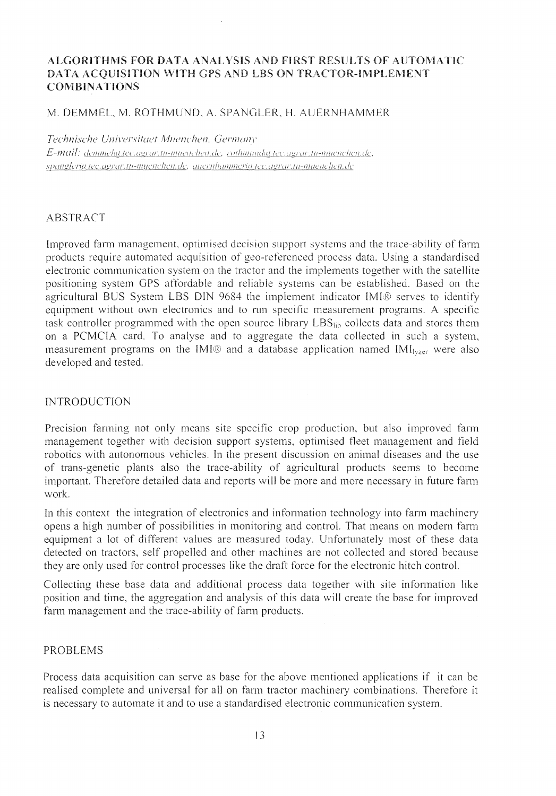## ALGORITHMS FOR DATA ANALYSIS AND FIRST RESULTS OF AUTOMATIC DATA ACOUISITION WITH GPS AND LBS ON TRACTOR-IMPLEMENT **COMBINATIONS**

#### M. DEMMEL, M. ROTHMUND, A. SPANGLER, H. AUERNHAMMER

Technische Universitaet Muenchen, Germany

E-mail: demmelatiec.agrar.tu-muenchen.de, rothnundatiec.agrar.tu-muenchen.de, spangleria teclagrar.tu-muenchen.de, auernhammeria teclagrar.tu-muenchen.de

### **ABSTRACT**

Improved farm management, optimised decision support systems and the trace-ability of farm products require automated acquisition of geo-referenced process data. Using a standardised electronic communication system on the tractor and the implements together with the satellite positioning system GPS affordable and reliable systems can be established. Based on the agricultural BUS System LBS DIN 9684 the implement indicator IMI® serves to identify equipment without own electronics and to run specific measurement programs. A specific task controller programmed with the open source library  $\text{LBS}_{\text{lib}}$  collects data and stores them on a PCMCIA card. To analyse and to aggregate the data collected in such a system, measurement programs on the IMI® and a database application named  $IMI<sub>Vzer</sub>$  were also developed and tested.

#### **INTRODUCTION**

Precision farming not only means site specific crop production, but also improved farm management together with decision support systems, optimised fleet management and field robotics with autonomous vehicles. In the present discussion on animal diseases and the use of trans-genetic plants also the trace-ability of agricultural products seems to become important. Therefore detailed data and reports will be more and more necessary in future farm work.

In this context the integration of electronics and information technology into farm machinery opens a high number of possibilities in monitoring and control. That means on modern farm equipment a lot of different values are measured today. Unfortunately most of these data detected on tractors, self propelled and other machines are not collected and stored because they are only used for control processes like the draft force for the electronic hitch control.

Collecting these base data and additional process data together with site information like position and time, the aggregation and analysis of this data will create the base for improved farm management and the trace-ability of farm products.

### PROBLEMS

Process data acquisition can serve as base for the above mentioned applications if it can be realised complete and universal for all on farm tractor machinery combinations. Therefore it is necessary to automate it and to use a standardised electronic communication system.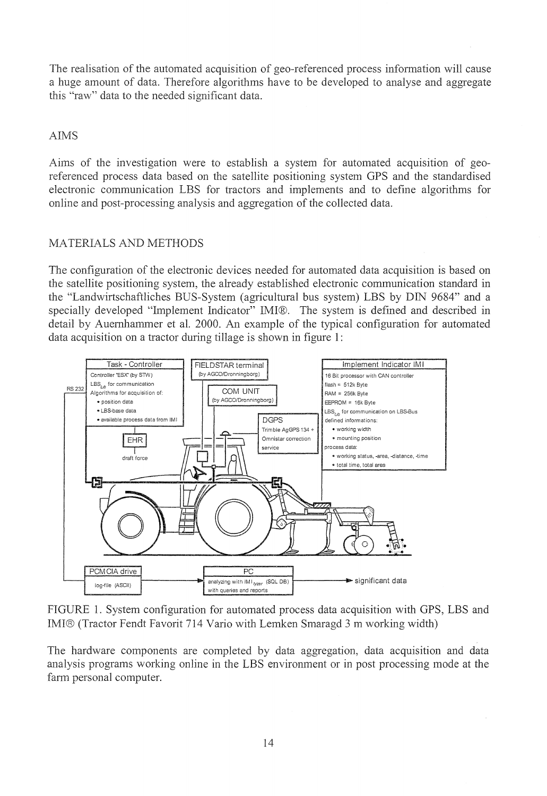The realisation of the automated acquisition of geo-referenced process infommtion will cause a huge amount of data. Therefore algorithms have to be developed to analyse and aggregate this "raw" data to the needed significant data.

# AIMS

Aims of the investigation were to establish a system for automated acquisition of georeferenced process data based on the satellite positioning system GPS and the standardised electronic communication LBS for tractors and implements and to define algorithms for online and post-processing analysis and aggregation of the collected data.

# MATERIALS AND METHODS

The configuration of the electronic devices needed for automated data acquisition is based on the satellite positioning system, the already established electronic communication standard in the "Landwirtschaftliches BUS-System (agricultural bus system) LBS by DIN 9684" and a special!y developed "Implement Indicator" IMI®. The system is defined and described in detail by Auernhammer et al. 2000. An example of the typical configuration for automated data acquisition on a tractor during tillage is shown in figure 1:



FIGURE 1. System configuration for automated process data acquisition with GPS, LBS and IMI® (Tractor Fendt Favorit 714 Vario with Lemken Smaragd 3m working width)

The hardware components are completed by data aggregation, data acquisition and data analysis programs working online in the LBS environment or in post processing mode at the fann personal computer.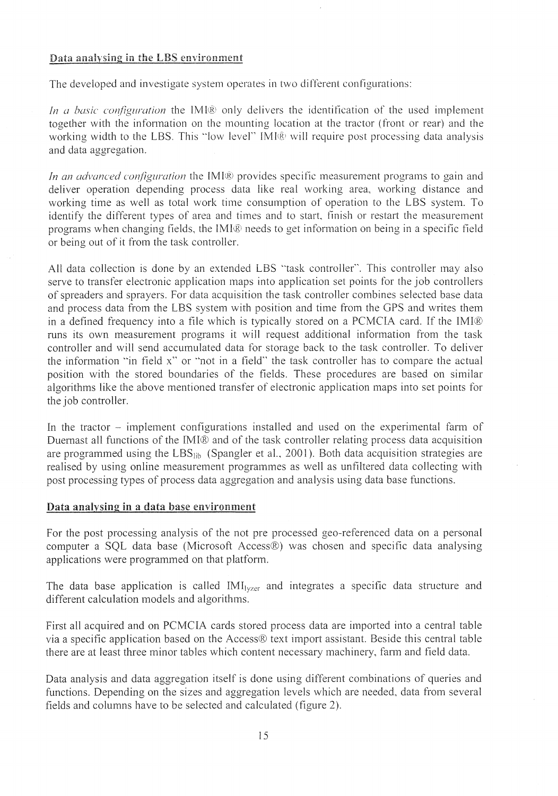#### Oata analysing in the LBS environment

The developed and investigate system operates in two different configurations:

*In a basic configuration* the IMI® only delivers the identification of the used implement together with the information on the mounting location at the tractor (front or rear) and the working width to the LBS. This "low level"  $IM \&$  will require post processing data analysis and data aggregation.

*In an advanced configuration* the IMI® provides specific measurement programs to gain and deliver operation depending process data like real working area, working distance and working time as weil as total work time consumption of operation to the LBS system. To identify the different types of area and timcs and to start. finish or restart the measurement programs when changing fields, the  $IMI@$  needs to get information on being in a specific field or being out of it from the task controller.

All data collection is done by an extended LBS ''task controller". This controller may also serve to transfer electronic application maps into application set points for the job controllers of spreaders and sprayers. For data acquisition the task controller combines selected base data and process data from the LBS system with position and time from the GPS and writes them in a defined frequency into a file which is typically stored on a PCMCIA card. lf the IMI@ runs its own measurement programs it will request additional information from the task controller and will send accumulated data for storage back to the task controller. To deliver the information "in field x" or ·'not in a field" the task controller has to compare the actual position with the stored boundaries of the fields. These procedures are based on similar algorithms like the above mentioned transter of electronic application maps into set points for the job controller.

In the tractor  $-$  implement configurations installed and used on the experimental farm of Duernast all functions of the IM!@ and of the task controller relating process data acquisition are programmed using the LBS $_{\text{lib}}$  (Spangler et al., 2001). Both data acquisition strategies are realised by using online measurement programmes as well as unfiltered data collecting with post processing types of process data aggregation and analysis using data base functions.

#### Data analvsing in a data base environment

For the post processing analysis of the not pre processed geo-referenced data on a personal computer a SQL data base (Microsoft Access@) was chosen and specific data analysing applications were programmed on that platform.

The data base application is called  $\text{IMI}_{\text{lyzer}}$  and integrates a specific data structure and different calculation models and algorithms.

Firstall acquired and on PCMCIA cards stored process data are imported into a central table via a specific application based on the Access® text import assistant. Beside this central table there are at least three minor tables which content necessary machinery, fann and field data.

Data analysis and data aggregation itself is done using different combinations of queries and functions. Depending on the sizes and aggregation Ievels which are needed, data from several fields and columns have tobe selected and calculated (figure 2).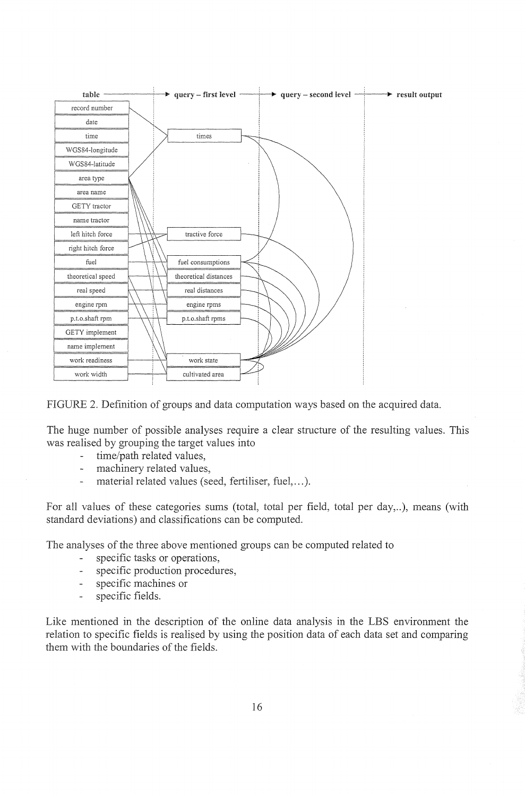

FIGURE 2. Definition of groups and data computation ways based on the acquired data.

The huge number of possible analyses require a clear stmcture of the resulting values. This was realised by grouping the target values into

- time/path related values,
- machinery related values,  $\sim$
- material related values (seed, fertiliser, fuel,...). L.

For all values of these categories sums (total, total per field, total per day,..), means (with standard deviations) and classifications can be computed.

The analyses of the three above mentioned groups can be computed related to

- specific tasks or operations,
- specific production procedures,  $\bar{\phantom{a}}$
- specific machines or  $\overline{a}$
- specific fields.  $\overline{a}$

Like mentioned in the description of the online data analysis in the LBS environment the relation to specific fields is realised by using the position data of each data set and comparing them with the boundaries of the fields.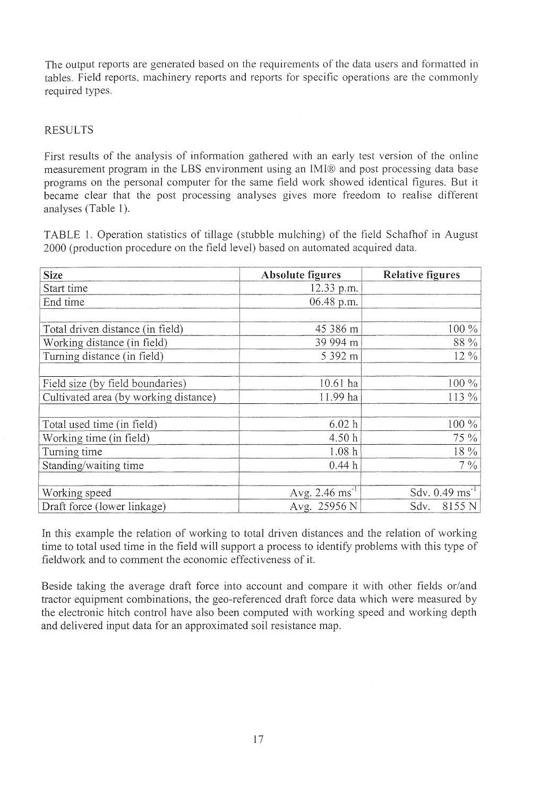The output reports are generated based on the requirements of the data users and formatted in tables. Field reports, machinery reports and reports for specific operations are the commonly required types.

## **RESULTS**

First results of the analysis of information gathered with an early test version of the online measurement program in the LBS environment using an IMI® and post processing data base programs on the personal computer for the same field work showed identical figures. But it became clear that the post processing analyses gives more freedom to realise different analyses (Table 1).

TABLE 1. Operation statistics of tillage (stubble mulching) of the field Schafhof in August 2000 (production procedure on the field level) based on automated acquired data.

| <b>Size</b>                           | Absolute figures             | <b>Relative figures</b>     |
|---------------------------------------|------------------------------|-----------------------------|
| Start time                            | 12.33 p.m.                   |                             |
| End time                              | 06.48 p.m.                   |                             |
|                                       |                              |                             |
| Total driven distance (in field)      | 45 386 m                     | $100\%$                     |
| Working distance (in field)           | 39 994 m                     | 88%                         |
| Turning distance (in field)           | 5 392 m                      | $12\%$                      |
|                                       |                              |                             |
| Field size (by field boundaries)      | $10.61$ ha                   | 100 %                       |
| Cultivated area (by working distance) | 11.99 ha                     | 113 %                       |
|                                       |                              |                             |
| Total used time (in field)            | 6.02h                        | 100 %                       |
| Working time (in field)               | 4.50 h                       | 75 %                        |
| Turning time                          | 1.08h                        | 18 %                        |
| Standing/waiting time                 | 0.44h                        | $7\%$                       |
|                                       |                              |                             |
| Working speed                         | Avg. $2.46$ ms <sup>-1</sup> | Sdv. $0.49 \text{ ms}^{-1}$ |
| Draft force (lower linkage)           | Avg. 25956 N                 | Sdv. 8155 N                 |

In this example the relation of working to total driven distances and the relation of working time to total used time in the field will support a process to identify problems with this type of fieldwork and to comment the economic effectiveness of it.

Beside taking the average draft force into account and compare it with other fields or/and tractor equipment combinations, the geo-referenced draft force data which were measured by the electronic hitch control have also been computed with working speed and working depth and delivered input data for an approximated soil resistance map.